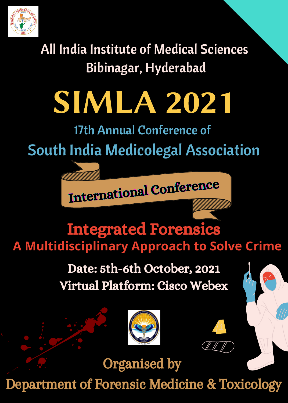

All India Institute of Medical Sciences Bibinagar, Hyderabad

# SIMLA 2021

17th Annual Conference of

## South India Medicolegal Association

International Conference International Conference Conference

### Integrated Forensics **A Multidisciplinary Approach to Solve Crime**

### Date: 5th-6th October, 2021 Virtual Platform: Cisco Webex







Department of Forensic Medicine & Toxicology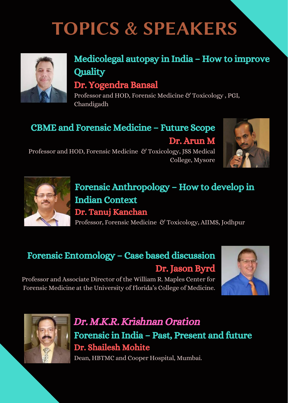# TOPICS & SPEAKERS



#### Medicolegal autopsy in India – How to improve **Quality**

#### Dr. Yogendra Bansal

Professor and HOD, Forensic Medicine & Toxicology , PGI, Chandigadh

#### CBME and Forensic Medicine – Future Scope

Dr. Arun M



Professor and HOD, Forensic Medicine & Toxicology, JSS Medical College, Mysore



#### Forensic Anthropology – How to develop in Indian Context Dr. Tanuj Kanchan

Professor, Forensic Medicine & Toxicology, AIIMS, Jodhpur

#### Forensic Entomology – Case based discussion Dr. Jason Byrd

Professor and Associate Director of the William R. Maples Center for Forensic Medicine at the University of Florida's College of Medicine.





#### Dr. M.K.R. Krishnan Oration Forensic in India – Past, Present and future Dr. Shailesh Mohite

Dean, HBTMC and Cooper Hospital, Mumbai.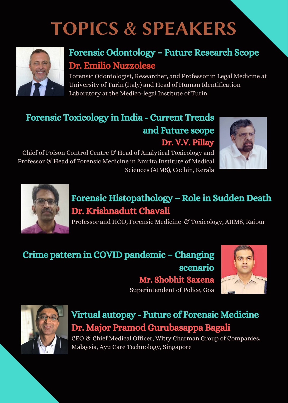# TOPICS & SPEAKERS



#### Forensic Odontology – Future Research Scope Dr. Emilio Nuzzolese

Forensic Odontologist, Researcher, and Professor in Legal Medicine at University of Turin (Italy) and Head of Human Identification Laboratory at the Medico-legal Institute of Turin.

### Forensic Toxicology in India - Current Trends and Future scope

Dr. V.V. Pillay

Chief of Poison Control Centre & Head of Analytical Toxicology and Professor & Head of Forensic Medicine in Amrita Institute of Medical Sciences (AIMS), Cochin, Kerala





#### Forensic Histopathology – Role in Sudden Death Dr. Krishnadutt Chavali

Professor and HOD, Forensic Medicine & Toxicology, AIIMS, Raipur

#### Crime pattern in COVID pandemic – Changing scenario Mr. Shobhit Saxena

Superintendent of Police, Goa





#### Virtual autopsy - Future of Forensic Medicine Dr. Major Pramod Gurubasappa Bagali

CEO & Chief Medical Officer, Witty Charman Group of Companies, Malaysia, Ayu Care Technology, Singapore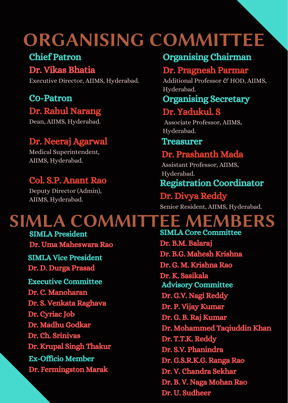## ORGANISING COMMITTEE

#### Chief Patron

#### Dr. Vikas Bhatia

Executive Director, AIIMS, Hyderabad.

#### C0-Patron Dr. Rahul Narang

Dean, AIIMS, Hyderabad.

#### Dr. Neeraj Agarwal

Medical Superintendent, AIIMS, Hyderabad.

#### Col. S.P. Anant Rao

Deputy Director (Admin), AIIMS, Hyderabad.

#### Organising Chairman

#### Dr. Pragnesh Parmar

Additional Professor & HOD, AIIMS, Hyderabad.

#### Organising Secretary

#### Dr. Yadukul. S

Associate Professor, AIIMS, Hyderabad.

#### Treasurer

#### Dr. Prashanth Mada

Assistant Professor, AIIMS, Hyderabad.

#### Registration Coordinator

#### Dr. Divya Reddy

Senior Resident, AIIMS, Hyderabad.

### SIMLA COMMITTEE MEMBERS

SIMLA President Dr. Uma Maheswara Rao SIMLA Vice President

Dr. D. Durga Prasad

Executive Committee Dr. C. Manoharan Dr. S. Venkata Raghava Dr. Cyriac Job Dr. Madhu Godkar Dr. Ch. Srinivas Dr. Krupal Singh Thakur Ex-Officio Member Dr. Fermingston Marak

SIMLA Core Committee Dr. B.M. Balaraj Dr. B.G. Mahesh Krishna Dr. G. M. Krishna Rao Dr. K. Sasikala Advisory Committee Dr. G.V. Nagi Reddy Dr. P. Vijay Kumar Dr. G. B. Raj Kumar Dr. Mohammed Taqiuddin Khan Dr. T.T.K. Reddy Dr. S.V. Phanindra Dr. G.S.R.K.G. Ranga Rao Dr. V. Chandra Sekhar Dr. B. V. Naga Mohan Rao Dr. U. Sudheer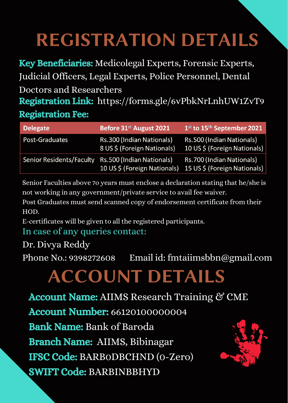# REGISTRATION DETAILS

Registration Link: https://forms.gle/6vPbkNrLnhUW1ZvT9 Registration Fee: Key Beneficiaries: Medicolegal Experts, Forensic Experts, Judicial Officers, Legal Experts, Police Personnel, Dental Doctors and Researchers

| <b>Delegate</b>          | Before 31 <sup>st</sup> August 2021                        | 1 <sup>st</sup> to 15 <sup>th</sup> September 2021        |
|--------------------------|------------------------------------------------------------|-----------------------------------------------------------|
| Post-Graduates           | Rs.300 (Indian Nationals)<br>8 US \$ (Foreign Nationals)   | Rs.500 (Indian Nationals)<br>10 US \$ (Foreign Nationals) |
| Senior Residents/Faculty | Rs.500 (Indian Nationals)<br>10 US \$ (Foreign Nationals). | Rs.700 (Indian Nationals)<br>15 US \$ (Foreign Nationals) |

Senior Faculties above 7o years must enclose a declaration stating that he/she is not working in any government/private service to avail fee waiver.

Post Graduates must send scanned copy of endorsement certificate from their HOD.

E-certificates will be given to all the registered participants.

#### In case of any queries contact:

Dr. Divya Reddy

Phone No.: 9398272608 Email id: fmtaiimsbbn@gmail.com

# ACCOUNT DETAILS

Account Name: AIIMS Research Training & CME Account Number: 66120100000004 Bank Name: Bank of Baroda Branch Name: AIIMS, Bibinagar IFSC Code: BARB0DBCHND (0-Zero) SWIFT Code: BARBINBBHYD